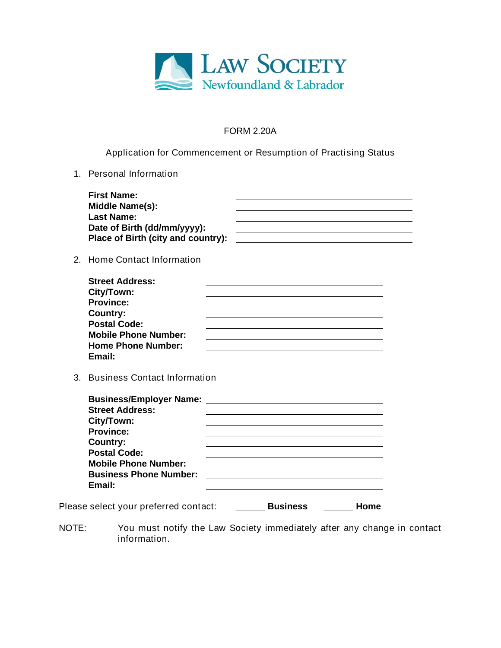

## **FORM 2.20A**

## **Application for Commencement or Resumption of Practising Status**

**1. Personal Information**

| <b>First Name:</b>                 |  |
|------------------------------------|--|
| Middle Name(s):                    |  |
| <b>Last Name:</b>                  |  |
| Date of Birth (dd/mm/yyyy):        |  |
| Place of Birth (city and country): |  |
|                                    |  |

## **2. Home Contact Information**

| <b>Street Address:</b>      |  |
|-----------------------------|--|
| City/Town:                  |  |
| <b>Province:</b>            |  |
| Country:                    |  |
| <b>Postal Code:</b>         |  |
| <b>Mobile Phone Number:</b> |  |
| <b>Home Phone Number:</b>   |  |
| Email:                      |  |

**3. Business Contact Information**

| <b>Business/Employer Name:</b><br><b>Street Address:</b> |  |
|----------------------------------------------------------|--|
| City/Town:                                               |  |
| <b>Province:</b>                                         |  |
| Country:                                                 |  |
| <b>Postal Code:</b>                                      |  |
| <b>Mobile Phone Number:</b>                              |  |
| <b>Business Phone Number:</b>                            |  |
| Email:                                                   |  |
|                                                          |  |

**Please select your preferred contact: Letter Business Letter Home** 

**NOTE: You must notify the Law Society immediately after any change in contact information.**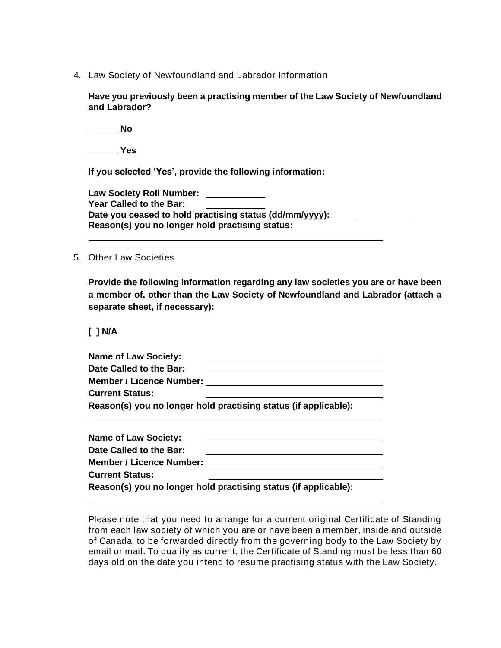**4. Law Society of Newfoundland and Labrador Information**

**Have you previously been a practising member of the Law Society of Newfoundland and Labrador?**

**No**

**Yes**

**If you selected 'Yes', provide the following information:**

**Law Society Roll Number: Year Called to the Bar: Date you ceased to hold practising status (dd/mm/yyyy): Reason(s) you no longer hold practising status:**

#### **5. Other Law Societies**

**Provide the following information regarding any law societies you are or have been a member of, other than the Law Society of Newfoundland and Labrador (attach a separate sheet, if necessary):**

**[ ] N/A**

| <b>Name of Law Society:</b>     |                                                                 |
|---------------------------------|-----------------------------------------------------------------|
| Date Called to the Bar:         |                                                                 |
| <b>Member / Licence Number:</b> |                                                                 |
| <b>Current Status:</b>          |                                                                 |
|                                 | Reason(s) you no longer hold practising status (if applicable): |

| <b>Name of Law Society:</b>     |                                                                 |
|---------------------------------|-----------------------------------------------------------------|
| Date Called to the Bar:         |                                                                 |
| <b>Member / Licence Number:</b> |                                                                 |
| <b>Current Status:</b>          |                                                                 |
|                                 | Reason(s) you no longer hold practising status (if applicable): |

**Please note that you need to arrange for a current original Certificate of Standing from each law society of which you are or have been a member, inside and outside of Canada, to be forwarded directly from the governing body to the Law Society by email or mail. To qualify as current, the Certificate of Standing must be less than 60 days old on the date you intend to resume practising status with the Law Society.**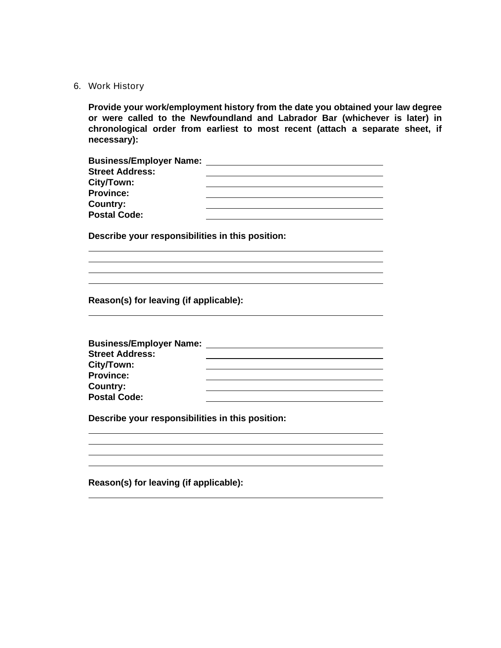#### **6. Work History**

**Provide your work/employment history from the date you obtained your law degree or were called to the Newfoundland and Labrador Bar (whichever is later) in chronological order from earliest to most recent (attach a separate sheet, if necessary):**

| <b>Business/Employer Name:</b> |  |
|--------------------------------|--|
| <b>Street Address:</b>         |  |
| City/Town:                     |  |
| <b>Province:</b>               |  |
| Country:                       |  |
| <b>Postal Code:</b>            |  |

**Describe your responsibilities in this position:**

**Reason(s) for leaving (if applicable):**

| <b>Business/Employer Name:</b> |  |
|--------------------------------|--|
| <b>Street Address:</b>         |  |
| City/Town:                     |  |
| <b>Province:</b>               |  |
| Country:                       |  |
| <b>Postal Code:</b>            |  |

**Describe your responsibilities in this position:**

**Reason(s) for leaving (if applicable):**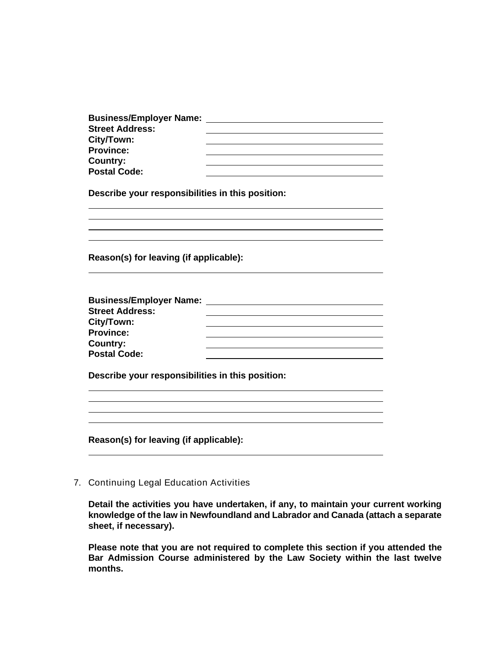| <b>Business/Employer Name:</b>                   |                                                    |
|--------------------------------------------------|----------------------------------------------------|
| <b>Street Address:</b>                           |                                                    |
| City/Town:<br><b>Province:</b>                   |                                                    |
| <b>Country:</b>                                  |                                                    |
| <b>Postal Code:</b>                              |                                                    |
|                                                  |                                                    |
| Describe your responsibilities in this position: |                                                    |
|                                                  |                                                    |
|                                                  |                                                    |
| Reason(s) for leaving (if applicable):           |                                                    |
| <b>Business/Employer Name:</b>                   | <u> 1980 - John Stein, Amerikaansk politiker (</u> |
| <b>Street Address:</b>                           |                                                    |
| City/Town:                                       |                                                    |
| <b>Province:</b>                                 |                                                    |
| <b>Country:</b>                                  |                                                    |
| <b>Postal Code:</b>                              |                                                    |
| Describe your responsibilities in this position: |                                                    |
|                                                  |                                                    |
|                                                  |                                                    |
| Reason(s) for leaving (if applicable):           |                                                    |
|                                                  |                                                    |

**7. Continuing Legal Education Activities**

**Detail the activities you have undertaken, if any, to maintain your current working knowledge of the law in Newfoundland and Labrador and Canada (attach a separate sheet, if necessary).** 

**Please note that you are not required to complete this section if you attended the Bar Admission Course administered by the Law Society within the last twelve months.**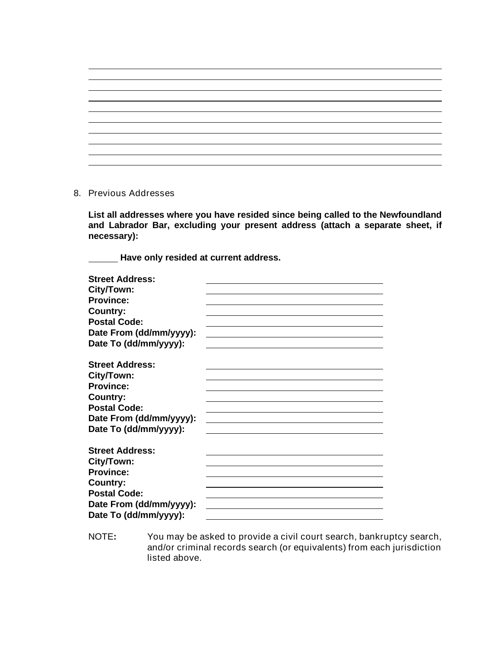### **8. Previous Addresses**

**List all addresses where you have resided since being called to the Newfoundland and Labrador Bar, excluding your present address (attach a separate sheet, if necessary):**

**Have only resided at current address.**

| <b>Street Address:</b>  |  |
|-------------------------|--|
| City/Town:              |  |
| <b>Province:</b>        |  |
| Country:                |  |
| <b>Postal Code:</b>     |  |
| Date From (dd/mm/yyyy): |  |
| Date To (dd/mm/yyyy):   |  |
| <b>Street Address:</b>  |  |
| City/Town:              |  |
| <b>Province:</b>        |  |
| <b>Country:</b>         |  |
| <b>Postal Code:</b>     |  |
| Date From (dd/mm/yyyy): |  |
| Date To (dd/mm/yyyy):   |  |
|                         |  |
| <b>Street Address:</b>  |  |
| City/Town:              |  |
| <b>Province:</b>        |  |
| Country:                |  |
| <b>Postal Code:</b>     |  |
| Date From (dd/mm/yyyy): |  |
| Date To (dd/mm/yyyy):   |  |

**NOTE: You may be asked to provide a civil court search, bankruptcy search, and/or criminal records search (or equivalents) from each jurisdiction listed above.**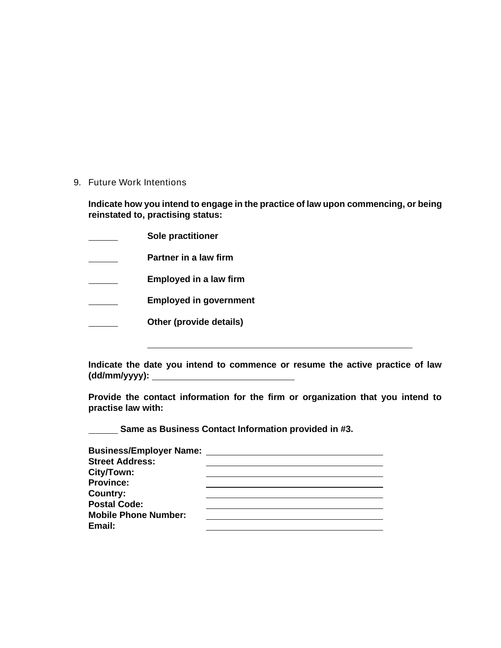**9. Future Work Intentions**

**Indicate how you intend to engage in the practice of law upon commencing, or being reinstated to, practising status:**

**Sole practitioner**   $\overline{\phantom{a}}$ 

**Partner in a law firm**

**Employed in a law firm** 

**Employed in government**  $\mathcal{L}^{\text{max}}$ 

**Other (provide details)**  $\overline{\phantom{a}}$ 

**Indicate the date you intend to commence or resume the active practice of law (dd/mm/yyyy):** 

**Provide the contact information for the firm or organization that you intend to practise law with:**

**Same as Business Contact Information provided in #3.** 

| <b>Business/Employer Name:</b> |  |
|--------------------------------|--|
| <b>Street Address:</b>         |  |
| City/Town:                     |  |
| <b>Province:</b>               |  |
| Country:                       |  |
| <b>Postal Code:</b>            |  |
| <b>Mobile Phone Number:</b>    |  |
| Email:                         |  |
|                                |  |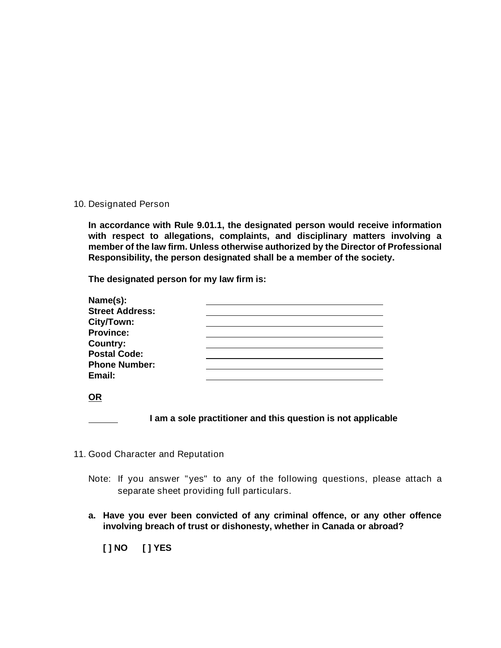#### **10. Designated Person**

**In accordance with Rule 9.01.1, the designated person would receive information with respect to allegations, complaints, and disciplinary matters involving a member of the law firm. Unless otherwise authorized by the Director of Professional Responsibility, the person designated shall be a member of the society.** 

**The designated person for my law firm is:**

| Name(s):               |  |  |
|------------------------|--|--|
| <b>Street Address:</b> |  |  |
| City/Town:             |  |  |
| <b>Province:</b>       |  |  |
| <b>Country:</b>        |  |  |
| <b>Postal Code:</b>    |  |  |
| <b>Phone Number:</b>   |  |  |
| Email:                 |  |  |
|                        |  |  |

|--|

**I am a sole practitioner and this question is not applicable**

- **11. Good Character and Reputation**
	- **Note: If you answer "yes" to any of the following questions, please attach a separate sheet providing full particulars.**
	- **a. Have you ever been convicted of any criminal offence, or any other offence involving breach of trust or dishonesty, whether in Canada or abroad?**

**[ ] NO [ ] YES**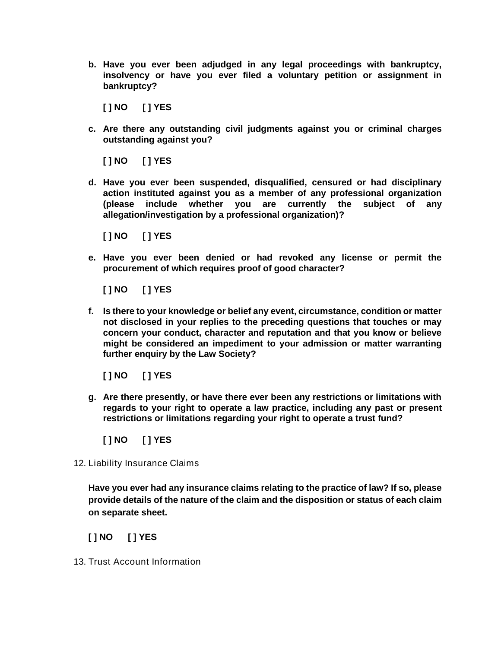**b. Have you ever been adjudged in any legal proceedings with bankruptcy, insolvency or have you ever filed a voluntary petition or assignment in bankruptcy?**

**[ ] NO [ ] YES**

**c. Are there any outstanding civil judgments against you or criminal charges outstanding against you?**

**[ ] NO [ ] YES**

**d. Have you ever been suspended, disqualified, censured or had disciplinary action instituted against you as a member of any professional organization (please include whether you are currently the subject of any allegation/investigation by a professional organization)?**

**[ ] NO [ ] YES**

**e. Have you ever been denied or had revoked any license or permit the procurement of which requires proof of good character?**

**[ ] NO [ ] YES**

**f. Is there to your knowledge or belief any event, circumstance, condition or matter not disclosed in your replies to the preceding questions that touches or may concern your conduct, character and reputation and that you know or believe might be considered an impediment to your admission or matter warranting further enquiry by the Law Society?**

**[ ] NO [ ] YES**

**g. Are there presently, or have there ever been any restrictions or limitations with regards to your right to operate a law practice, including any past or present restrictions or limitations regarding your right to operate a trust fund?**

**[ ] NO [ ] YES**

**12. Liability Insurance Claims**

**Have you ever had any insurance claims relating to the practice of law? If so, please provide details of the nature of the claim and the disposition or status of each claim on separate sheet.**

**[ ] NO [ ] YES**

**13. Trust Account Information**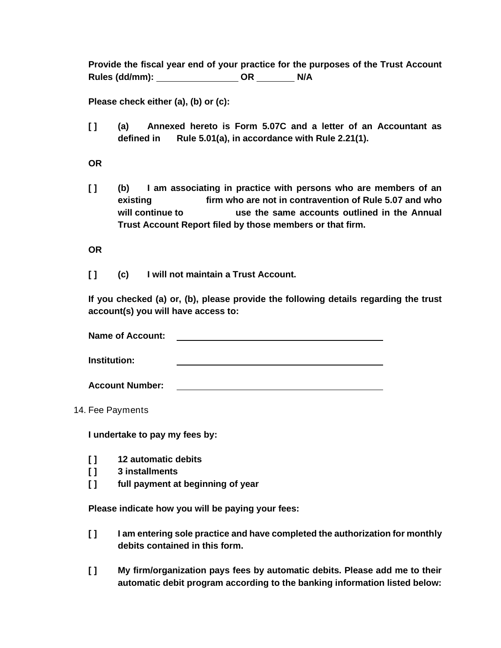**Provide the fiscal year end of your practice for the purposes of the Trust Account Rules (dd/mm): OR N/A**

**Please check either (a), (b) or (c):**

**[ ] (a) Annexed hereto is Form 5.07C and a letter of an Accountant as defined in Rule 5.01(a), in accordance with Rule 2.21(1).**

**OR**

**[ ] (b) I am associating in practice with persons who are members of an existing firm who are not in contravention of Rule 5.07 and who will continue to use the same accounts outlined in the Annual Trust Account Report filed by those members or that firm.** 

**OR**

**[ ] (c) I will not maintain a Trust Account.**

**If you checked (a) or, (b), please provide the following details regarding the trust account(s) you will have access to:**

**Name of Account: Institution:**

**Account Number:**

**14. Fee Payments**

**I undertake to pay my fees by:**

- **[ ] 12 automatic debits**
- **[ ] 3 installments**
- **[ ] full payment at beginning of year**

**Please indicate how you will be paying your fees:**

- **[ ] I am entering sole practice and have completed the authorization for monthly debits contained in this form.**
- **[ ] My firm/organization pays fees by automatic debits. Please add me to their automatic debit program according to the banking information listed below:**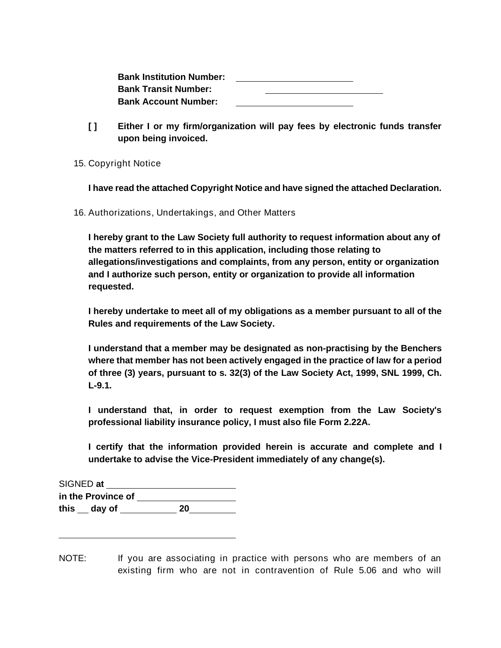| <b>Bank Institution Number:</b> |  |  |
|---------------------------------|--|--|
| <b>Bank Transit Number:</b>     |  |  |
| <b>Bank Account Number:</b>     |  |  |

- **[ ] Either I or my firm/organization will pay fees by electronic funds transfer upon being invoiced.**
- **15. Copyright Notice**

**I have read the attached Copyright Notice and have signed the attached Declaration.**

**16. Authorizations, Undertakings, and Other Matters**

**I hereby grant to the Law Society full authority to request information about any of the matters referred to in this application, including those relating to allegations/investigations and complaints, from any person, entity or organization and I authorize such person, entity or organization to provide all information requested.**

**I hereby undertake to meet all of my obligations as a member pursuant to all of the Rules and requirements of the Law Society.**

**I understand that a member may be designated as non-practising by the Benchers where that member has not been actively engaged in the practice of law for a period of three (3) years, pursuant to s. 32(3) of the** *Law Society Act, 1999***, SNL 1999, Ch. L-9.1.**

**I understand that, in order to request exemption from the Law Society's professional liability insurance policy, I must also file Form 2.22A.**

**I certify that the information provided herein is accurate and complete and I undertake to advise the Vice-President immediately of any change(s).**

| <b>SIGNED at</b>   |    |
|--------------------|----|
| in the Province of |    |
| this day of        | 20 |

**NOTE: If you are associating in practice with persons who are members of an existing firm who are not in contravention of Rule 5.06 and who will**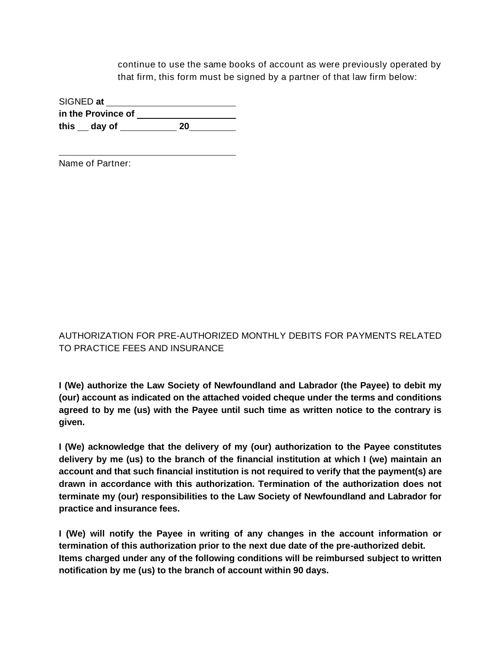**continue to use the same books of account as were previously operated by that firm, this form must be signed by a partner of that law firm below:**

**SIGNED at in the Province of this day of 20**

**Name of Partner:**

# **AUTHORIZATION FOR PRE-AUTHORIZED MONTHLY DEBITS FOR PAYMENTS RELATED TO PRACTICE FEES AND INSURANCE**

**I (We) authorize the Law Society of Newfoundland and Labrador (the Payee) to debit my (our) account as indicated on the attached voided cheque under the terms and conditions agreed to by me (us) with the Payee until such time as written notice to the contrary is given.**

**I (We) acknowledge that the delivery of my (our) authorization to the Payee constitutes delivery by me (us) to the branch of the financial institution at which I (we) maintain an account and that such financial institution is not required to verify that the payment(s) are drawn in accordance with this authorization. Termination of the authorization does not terminate my (our) responsibilities to the Law Society of Newfoundland and Labrador for practice and insurance fees.**

**I (We) will notify the Payee in writing of any changes in the account information or termination of this authorization prior to the next due date of the pre-authorized debit. Items charged under any of the following conditions will be reimbursed subject to written notification by me (us) to the branch of account within 90 days.**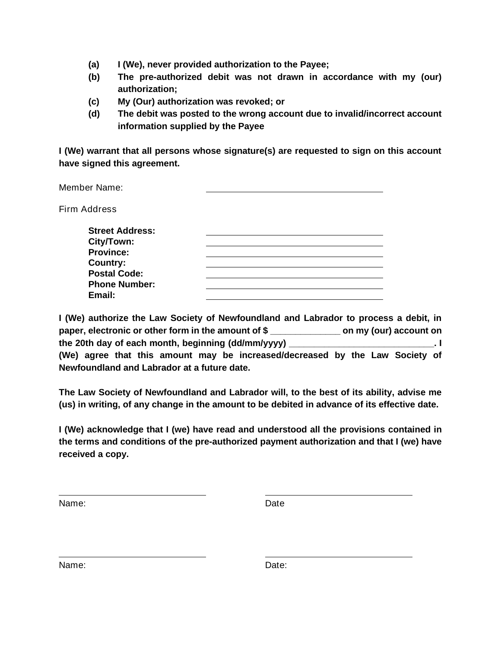- **(a) I (We), never provided authorization to the Payee;**
- **(b) The pre-authorized debit was not drawn in accordance with my (our) authorization;**
- **(c) My (Our) authorization was revoked; or**
- **(d) The debit was posted to the wrong account due to invalid/incorrect account information supplied by the Payee**

**I (We) warrant that all persons whose signature(s) are requested to sign on this account have signed this agreement.**

| <b>Member Name:</b>    |  |
|------------------------|--|
| <b>Firm Address</b>    |  |
| <b>Street Address:</b> |  |
| City/Town:             |  |
| <b>Province:</b>       |  |
| <b>Country:</b>        |  |
| <b>Postal Code:</b>    |  |
| <b>Phone Number:</b>   |  |
| Email:                 |  |

| I (We) authorize the Law Society of Newfoundland and Labrador to process a debit, in |  |  |                        |  |  |  |
|--------------------------------------------------------------------------------------|--|--|------------------------|--|--|--|
| paper, electronic or other form in the amount of \$                                  |  |  | on my (our) account on |  |  |  |
| the 20th day of each month, beginning (dd/mm/yyyy)                                   |  |  |                        |  |  |  |
| (We) agree that this amount may be increased/decreased by the Law Society of         |  |  |                        |  |  |  |
| Newfoundland and Labrador at a future date.                                          |  |  |                        |  |  |  |

**The Law Society of Newfoundland and Labrador will, to the best of its ability, advise me (us) in writing, of any change in the amount to be debited in advance of its effective date.**

**I (We) acknowledge that I (we) have read and understood all the provisions contained in the terms and conditions of the pre-authorized payment authorization and that I (we) have received a copy.**

**Name: Date**

**Name: Date: Date: Date: Date:**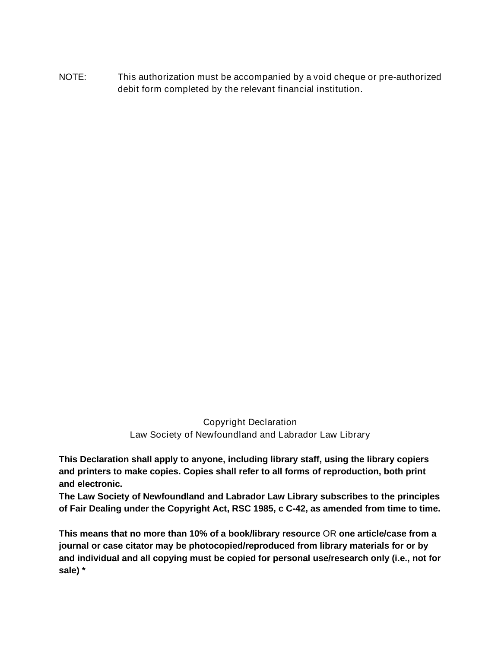**NOTE: This authorization must be accompanied by a void cheque or pre-authorized debit form completed by the relevant financial institution.**

> **Copyright Declaration Law Society of Newfoundland and Labrador Law Library**

**This Declaration shall apply to anyone, including library staff, using the library copiers and printers to make copies. Copies shall refer to all forms of reproduction, both print and electronic.**

**The Law Society of Newfoundland and Labrador Law Library subscribes to the principles of Fair Dealing under the** *Copyright Act***, RSC 1985, c C-42, as amended from time to time.**

**This means that no more than 10% of a book/library resource OR one article/case from a journal or case citator may be photocopied/reproduced from library materials for or by and individual and all copying must be copied for personal use/research only (i.e., not for sale) \***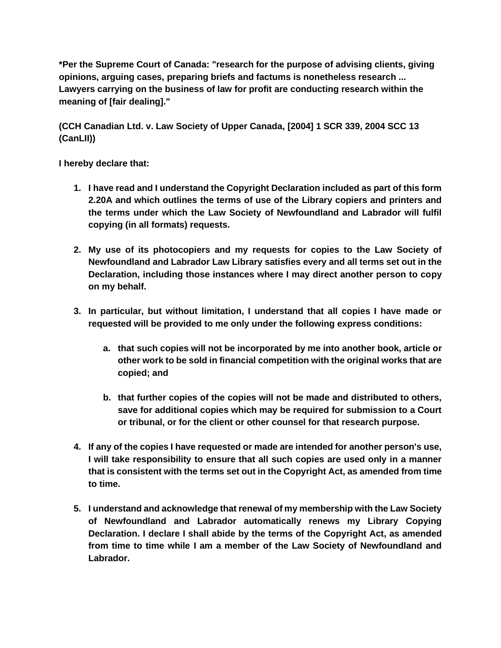**\*Per the Supreme Court of Canada: "research for the purpose of advising clients, giving opinions, arguing cases, preparing briefs and factums is nonetheless research ... Lawyers carrying on the business of law for profit are conducting research within the meaning of [fair dealing]."** 

**(***CCH Canadian Ltd. v. Law Society of Upper Canada***, [2004] 1 SCR 339, 2004 SCC 13 (CanLII))**

**I hereby declare that:**

- **1. I have read and I understand the Copyright Declaration included as part of this form 2.20A and which outlines the terms of use of the Library copiers and printers and the terms under which the Law Society of Newfoundland and Labrador will fulfil copying (in all formats) requests.**
- **2. My use of its photocopiers and my requests for copies to the Law Society of Newfoundland and Labrador Law Library satisfies every and all terms set out in the Declaration, including those instances where I may direct another person to copy on my behalf.**
- **3. In particular, but without limitation, I understand that all copies I have made or requested will be provided to me only under the following express conditions:**
	- **a. that such copies will not be incorporated by me into another book, article or other work to be sold in financial competition with the original works that are copied; and**
	- **b. that further copies of the copies will not be made and distributed to others, save for additional copies which may be required for submission to a Court or tribunal, or for the client or other counsel for that research purpose.**
- **4. If any of the copies I have requested or made are intended for another person's use, I will take responsibility to ensure that all such copies are used only in a manner that is consistent with the terms set out in the** *Copyright Act***, as amended from time to time.**
- **5. I understand and acknowledge that renewal of my membership with the Law Society of Newfoundland and Labrador automatically renews my Library Copying Declaration. I declare I shall abide by the terms of the** *Copyright Act***, as amended from time to time while I am a member of the Law Society of Newfoundland and Labrador.**